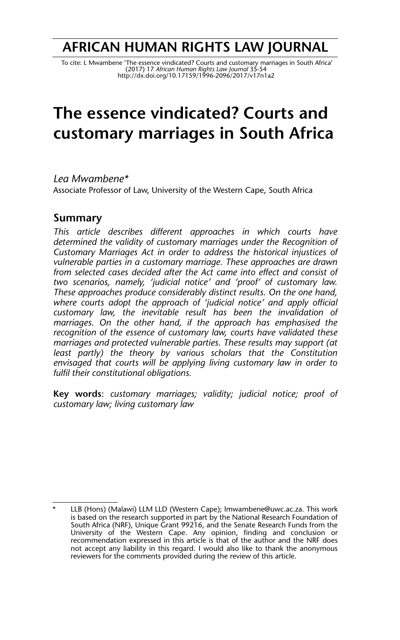## **AFRICAN HUMAN RIGHTS LAW JOURNAL**

To cite: L Mwambene 'The essence vindicated? Courts and customary marriages in South Africa'<br>(2017) 17 A*frican Human Rights Law Journal* 35-54<br>http://dx.doi.org/10.17159/1996-2096/2017/v17n1a2

# **The essence vindicated? Courts and customary marriages in South Africa**

*Lea Mwambene\** Associate Professor of Law, University of the Western Cape, South Africa

### **Summary**

*This article describes different approaches in which courts have determined the validity of customary marriages under the Recognition of Customary Marriages Act in order to address the historical injustices of vulnerable parties in a customary marriage. These approaches are drawn from selected cases decided after the Act came into effect and consist of two scenarios, namely, 'judicial notice' and 'proof' of customary law. These approaches produce considerably distinct results. On the one hand, where courts adopt the approach of 'judicial notice' and apply official customary law, the inevitable result has been the invalidation of marriages. On the other hand, if the approach has emphasised the recognition of the essence of customary law, courts have validated these marriages and protected vulnerable parties. These results may support (at least partly) the theory by various scholars that the Constitution envisaged that courts will be applying living customary law in order to fulfil their constitutional obligations.* 

**Key words**: *customary marriages; validity; judicial notice; proof of customary law; living customary law*

LLB (Hons) (Malawi) LLM LLD (Western Cape); lmwambene@uwc.ac.za. This work is based on the research supported in part by the National Research Foundation of South Africa (NRF), Unique Grant 99216, and the Senate Research Funds from the University of the Western Cape. Any opinion, finding and conclusion or recommendation expressed in this article is that of the author and the NRF does not accept any liability in this regard. I would also like to thank the anonymous reviewers for the comments provided during the review of this article.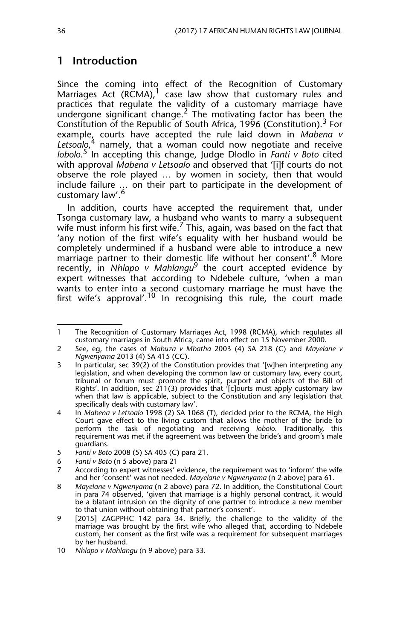## **1 Introduction**

Since the coming into effect of the Recognition of Customary Marriages Act (RCMA), $1$  case law show that customary rules and practices that regulate the validity of a customary marriage have undergone significant change.<sup>2</sup> The motivating factor has been the Constitution of the Republic of South Africa, 1996 (Constitution).<sup>3</sup> For example, courts have accepted the rule laid down in *Mabena v* Letsoalo,<sup>4</sup> namely, that a woman could now negotiate and receive *lobolo*. 5 In accepting this change, Judge Dlodlo in *Fanti v Boto* cited with approval *Mabena v Letsoalo* and observed that '[i]f courts do not observe the role played … by women in society, then that would include failure … on their part to participate in the development of customary law'.<sup>6</sup>

In addition, courts have accepted the requirement that, under Tsonga customary law, a husband who wants to marry a subsequent wife must inform his first wife.<sup>7</sup> This, again, was based on the fact that 'any notion of the first wife's equality with her husband would be completely undermined if a husband were able to introduce a new marriage partner to their domestic life without her consent'.<sup>8</sup> More recently, in *Nhlapo v Mahlangu*<sup>9</sup> the court accepted evidence by expert witnesses that according to Ndebele culture, 'when a man wants to enter into a second customary marriage he must have the first wife's approval'.<sup>10</sup> In recognising this rule, the court made

<sup>1</sup> The Recognition of Customary Marriages Act, 1998 (RCMA), which regulates all customary marriages in South Africa, came into effect on 15 November 2000.

<sup>2</sup> See, eg, the cases of *Mabuza v Mbatha* 2003 (4) SA 218 (C) and *Mayelane v Ngwenyama* 2013 (4) SA 415 (CC).

<sup>3</sup> In particular, sec 39(2) of the Constitution provides that '[w]hen interpreting any legislation, and when developing the common law or customary law, every court, tribunal or forum must promote the spirit, purport and objects of the Bill of Rights'. In addition, sec 211(3) provides that '[c]ourts must apply customary law when that law is applicable, subject to the Constitution and any legislation that specifically deals with customary law'.

<sup>4</sup> In *Mabena v Letsoalo* 1998 (2) SA 1068 (T), decided prior to the RCMA, the High Court gave effect to the living custom that allows the mother of the bride to perform the task of negotiating and receiving *lobolo*. Traditionally, this requirement was met if the agreement was between the bride's and groom's male guardians.

<sup>5</sup> *Fanti v Boto* 2008 (5) SA 405 (C) para 21.

<sup>6</sup> *Fanti v Boto* (n 5 above) para 21

According to expert witnesses' evidence, the requirement was to 'inform' the wife and her 'consent' was not needed. *Mayelane v Ngwenyama* (n 2 above) para 61.

<sup>8</sup> *Mayelane v Ngwenyama* (n 2 above) para 72. In addition, the Constitutional Court in para 74 observed, 'given that marriage is a highly personal contract, it would be a blatant intrusion on the dignity of one partner to introduce a new member to that union without obtaining that partner's consent'.

<sup>9 [2015]</sup> ZAGPPHC 142 para 34. Briefly, the challenge to the validity of the marriage was brought by the first wife who alleged that, according to Ndebele custom, her consent as the first wife was a requirement for subsequent marriages by her husband.

<sup>10</sup> *Nhlapo v Mahlangu* (n 9 above) para 33.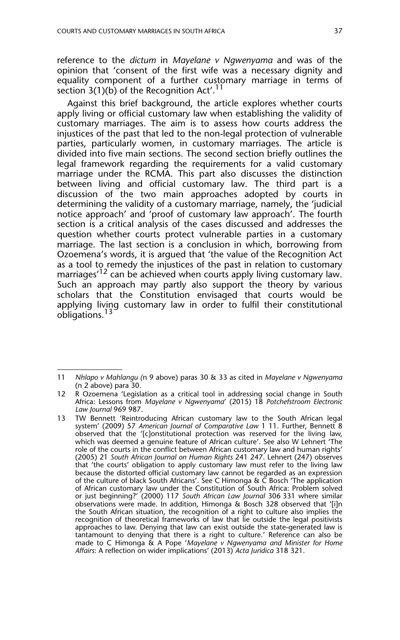reference to the *dictum* in *Mayelane v Ngwenyama* and was of the opinion that 'consent of the first wife was a necessary dignity and equality component of a further customary marriage in terms of section 3(1)(b) of the Recognition Act'.<sup>11</sup>

Against this brief background, the article explores whether courts apply living or official customary law when establishing the validity of customary marriages. The aim is to assess how courts address the injustices of the past that led to the non-legal protection of vulnerable parties, particularly women, in customary marriages. The article is divided into five main sections. The second section briefly outlines the legal framework regarding the requirements for a valid customary marriage under the RCMA. This part also discusses the distinction between living and official customary law. The third part is a discussion of the two main approaches adopted by courts in determining the validity of a customary marriage, namely, the 'judicial notice approach' and 'proof of customary law approach'. The fourth section is a critical analysis of the cases discussed and addresses the question whether courts protect vulnerable parties in a customary marriage. The last section is a conclusion in which, borrowing from Ozoemena's words, it is argued that 'the value of the Recognition Act as a tool to remedy the injustices of the past in relation to customary marriages<sup>'12</sup> can be achieved when courts apply living customary law. Such an approach may partly also support the theory by various scholars that the Constitution envisaged that courts would be applying living customary law in order to fulfil their constitutional obligations.<sup>13</sup>

<sup>11</sup> *Nhlapo v Mahlangu (*n 9 above) paras 30 & 33 as cited in *Mayelane v Ngwenyama* (n 2 above) para 30.

<sup>12</sup> R Ozoemena 'Legislation as a critical tool in addressing social change in South Africa: Lessons from *Mayelane v Ngwenyama*' (2015) 18 *Potchefstroom Electronic Law Journal* 969 987.

<sup>13</sup> TW Bennett 'Reintroducing African customary law to the South African legal system' (2009) 57 *American Journal of Comparative Law* 1 11. Further, Bennett 8 observed that the '[c]onstitutional protection was reserved for the living law, which was deemed a genuine feature of African culture'. See also W Lehnert 'The role of the courts in the conflict between African customary law and human rights' (2005) 21 *South African Journal on Human Rights* 241 247. Lehnert (247) observes that 'the courts' obligation to apply customary law must refer to the living law because the distorted official customary law cannot be regarded as an expression of the culture of black South Africans'. See C Himonga &  $\check{\mathrm{C}}$  Bosch 'The application of African customary law under the Constitution of South Africa: Problem solved or just beginning?' (2000) 117 *South African Law Journal* 306 331 where similar observations were made. In addition, Himonga & Bosch 328 observed that '[i]n the South African situation, the recognition of a right to culture also implies the recognition of theoretical frameworks of law that lie outside the legal positivists approaches to law. Denying that law can exist outside the state-generated law is tantamount to denying that there is a right to culture.' Reference can also be made to C Himonga & A Pope '*Mayelane v Ngwenyama and Minister for Home Affairs*: A reflection on wider implications' (2013) *Acta Juridica* 318 321.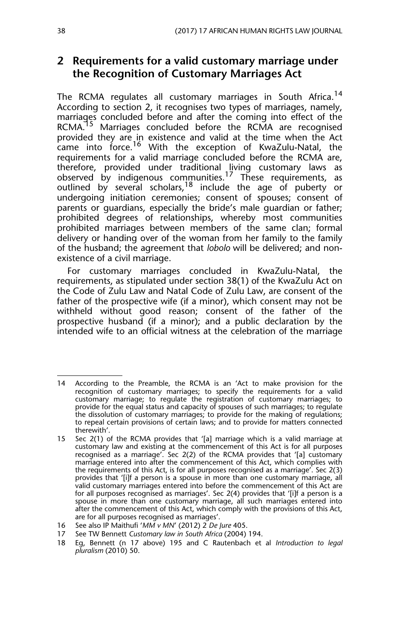## **2 Requirements for a valid customary marriage under the Recognition of Customary Marriages Act**

The RCMA regulates all customary marriages in South Africa.<sup>14</sup> According to section 2, it recognises two types of marriages, namely, marriages concluded before and after the coming into effect of the RCMA.<sup>15</sup> Marriages concluded before the RCMA are recognised provided they are in existence and valid at the time when the Act came into force.<sup>16</sup> With the exception of KwaZulu-Natal, the requirements for a valid marriage concluded before the RCMA are, therefore, provided under traditional living customary laws as observed by indigenous communities.<sup>17</sup> These requirements, as outlined by several scholars,<sup>18</sup> include the age of puberty or undergoing initiation ceremonies; consent of spouses; consent of parents or guardians, especially the bride's male guardian or father; prohibited degrees of relationships, whereby most communities prohibited marriages between members of the same clan; formal delivery or handing over of the woman from her family to the family of the husband; the agreement that *lobolo* will be delivered; and nonexistence of a civil marriage.

For customary marriages concluded in KwaZulu-Natal, the requirements, as stipulated under section 38(1) of the KwaZulu Act on the Code of Zulu Law and Natal Code of Zulu Law, are consent of the father of the prospective wife (if a minor), which consent may not be withheld without good reason; consent of the father of the prospective husband (if a minor); and a public declaration by the intended wife to an official witness at the celebration of the marriage

<sup>14</sup> According to the Preamble, the RCMA is an 'Act to make provision for the recognition of customary marriages; to specify the requirements for a valid customary marriage; to regulate the registration of customary marriages; to provide for the equal status and capacity of spouses of such marriages; to regulate the dissolution of customary marriages; to provide for the making of regulations; to repeal certain provisions of certain laws; and to provide for matters connected therewith'.

<sup>15</sup> Sec 2(1) of the RCMA provides that '[a] marriage which is a valid marriage at customary law and existing at the commencement of this Act is for all purposes recognised as a marriage'. Sec 2(2) of the RCMA provides that '[a] customary marriage entered into after the commencement of this Act, which complies with the requirements of this Act, is for all purposes recognised as a marriage'. Sec 2(3) provides that '[i]f a person is a spouse in more than one customary marriage, all valid customary marriages entered into before the commencement of this Act are for all purposes recognised as marriages'. Sec 2(4) provides that '[i]f a person is a spouse in more than one customary marriage, all such marriages entered into after the commencement of this Act, which comply with the provisions of this Act, are for all purposes recognised as marriages'.

<sup>16</sup> See also IP Maithufi '*MM v MN*' (2012) 2 *De Jure* 405.

<sup>17</sup> See TW Bennett *Customary law in South Africa* (2004) 194.

<sup>18</sup> Eg, Bennett (n 17 above) 195 and C Rautenbach et al *Introduction to legal pluralism* (2010) 50.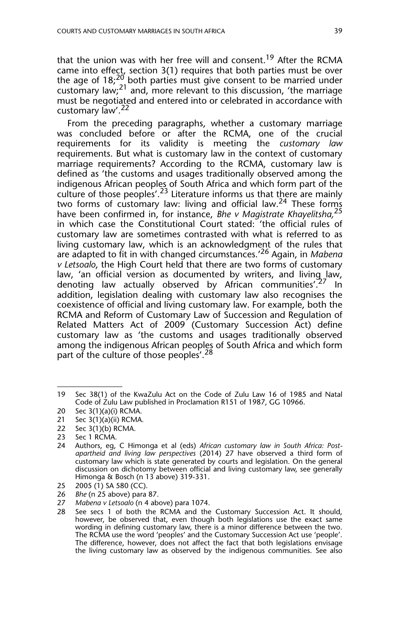that the union was with her free will and consent.<sup>19</sup> After the RCMA came into effect, section 3(1) requires that both parties must be over the age of 18;<sup>20</sup> both parties must give consent to be married under customary law;<sup>21</sup> and, more relevant to this discussion, 'the marriage must be negotiated and entered into or celebrated in accordance with customary law'.<sup>22</sup>

From the preceding paragraphs, whether a customary marriage was concluded before or after the RCMA, one of the crucial requirements for its validity is meeting the *customary law* requirements. But what is customary law in the context of customary marriage requirements? According to the RCMA, customary law is defined as 'the customs and usages traditionally observed among the indigenous African peoples of South Africa and which form part of the culture of those peoples'.<sup>23</sup> Literature informs us that there are mainly two forms of customary law: living and official law.<sup>24</sup> These forms have been confirmed in, for instance, *Bhe v Magistrate Khayelitsha,*<sup>25</sup> in which case the Constitutional Court stated: 'the official rules of customary law are sometimes contrasted with what is referred to as living customary law, which is an acknowledgment of the rules that are adapted to fit in with changed circumstances.'26 Again, in *Mabena v Letsoalo*, the High Court held that there are two forms of customary law, 'an official version as documented by writers, and living law, denoting law actually observed by African communities'.<sup>27</sup> In addition, legislation dealing with customary law also recognises the coexistence of official and living customary law. For example, both the RCMA and Reform of Customary Law of Succession and Regulation of Related Matters Act of 2009 (Customary Succession Act) define customary law as 'the customs and usages traditionally observed among the indigenous African peoples of South Africa and which form part of the culture of those peoples'.<sup>28</sup>

22 Sec 3(1)(b) RCMA.

- 25 2005 (1) SA 580 (CC).<br>26 *Bhe* (n 25 above) para
- 26 *Bhe* (n 25 above) para 87.
- 27 *Mabena v Letsoalo* (n 4 above) para 1074.

<sup>19</sup> Sec 38(1) of the KwaZulu Act on the Code of Zulu Law 16 of 1985 and Natal Code of Zulu Law published in Proclamation R151 of 1987, GG 10966.

<sup>20</sup> Sec 3(1)(a)(i) RCMA.

<sup>21</sup> Sec 3(1)(a)(ii) RCMA.

<sup>23</sup> Sec 1 RCMA.

<sup>24</sup> Authors, eg, C Himonga et al (eds) *African customary law in South Africa: Postapartheid and living law perspectives* (2014) 27 have observed a third form of customary law which is state generated by courts and legislation. On the general discussion on dichotomy between official and living customary law, see generally Himonga & Bosch (n 13 above) 319-331.

<sup>28</sup> See secs 1 of both the RCMA and the Customary Succession Act. It should, however, be observed that, even though both legislations use the exact same wording in defining customary law, there is a minor difference between the two. The RCMA use the word 'peoples' and the Customary Succession Act use 'people'. The difference, however, does not affect the fact that both legislations envisage the living customary law as observed by the indigenous communities. See also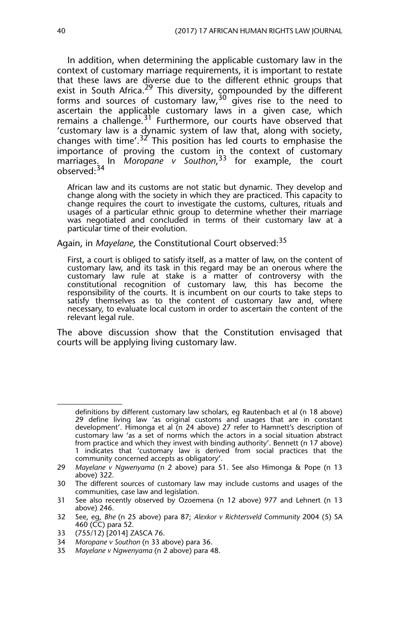In addition, when determining the applicable customary law in the context of customary marriage requirements, it is important to restate that these laws are diverse due to the different ethnic groups that exist in South Africa.<sup>29</sup> This diversity, compounded by the different forms and sources of customary law, $30\frac{1}{9}$  gives rise to the need to ascertain the applicable customary laws in a given case, which remains a challenge.<sup>31</sup> Furthermore, our courts have observed that 'customary law is a dynamic system of law that, along with society, changes with time'. $3^{2}$  This position has led courts to emphasise the importance of proving the custom in the context of customary marriages. In *Moropane v Southon*, 33 for example, the court observed:<sup>34</sup>

African law and its customs are not static but dynamic. They develop and change along with the society in which they are practiced. This capacity to change requires the court to investigate the customs, cultures, rituals and usages of a particular ethnic group to determine whether their marriage was negotiated and concluded in terms of their customary law at a particular time of their evolution.

Again, in *Mayelane*, the Constitutional Court observed:<sup>35</sup>

First, a court is obliged to satisfy itself, as a matter of law, on the content of customary law, and its task in this regard may be an onerous where the customary law rule at stake is a matter of controversy with the constitutional recognition of customary law, this has become the responsibility of the courts. It is incumbent on our courts to take steps to satisfy themselves as to the content of customary law and, where necessary, to evaluate local custom in order to ascertain the content of the relevant legal rule.

The above discussion show that the Constitution envisaged that courts will be applying living customary law.

definitions by different customary law scholars, eg Rautenbach et al (n 18 above) 29 define living law 'as original customs and usages that are in constant development'*.* Himonga et al (n 24 above) 27 refer to Hamnett's description of customary law 'as a set of norms which the actors in a social situation abstract from practice and which they invest with binding authority'. Bennett (n 17 above) 1 indicates that 'customary law is derived from social practices that the community concerned accepts as obligatory'.

<sup>29</sup> *Mayelane v Ngwenyama* (n 2 above) para 51. See also Himonga & Pope (n 13 above) 322.

<sup>30</sup> The different sources of customary law may include customs and usages of the communities, case law and legislation.

<sup>31</sup> See also recently observed by Ozoemena (n 12 above) 977 and Lehnert (n 13 above) 246.

<sup>32</sup> See, eg, *Bhe* (n 25 above) para 87; *Alexkor v Richtersveld Community* 2004 (5) SA 460 (CC) para 52.

<sup>33 (755/12) [2014]</sup> ZASCA 76.

<sup>34</sup> *Moropane v Southon* (n 33 above) para 36.

<sup>35</sup> *Mayelane v Ngwenyama* (n 2 above) para 48.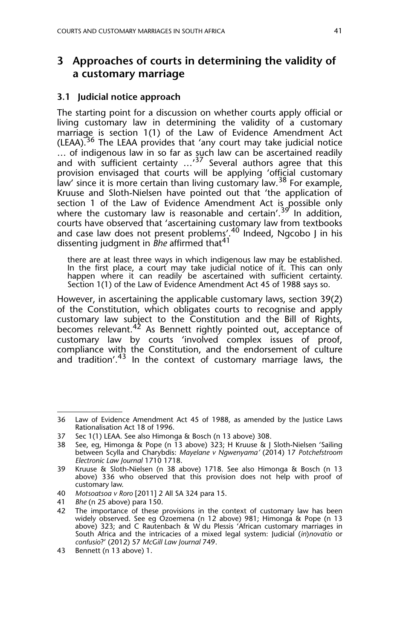## **3 Approaches of courts in determining the validity of a customary marriage**

#### **3.1 Judicial notice approach**

The starting point for a discussion on whether courts apply official or living customary law in determining the validity of a customary marriage is section 1(1) of the Law of Evidence Amendment Act (LEAA).<sup>36</sup> The LEAA provides that 'any court may take judicial notice … of indigenous law in so far as such law can be ascertained readily and with sufficient certainty ...<sup>37</sup> Several authors agree that this provision envisaged that courts will be applying 'official customary law' since it is more certain than living customary law.<sup>38</sup> For example, Kruuse and Sloth-Nielsen have pointed out that 'the application of section 1 of the Law of Evidence Amendment Act is possible only where the customary law is reasonable and certain'.<sup>39'</sup> In addition, courts have observed that 'ascertaining customary law from textbooks and case law does not present problems'.<sup>40</sup> Indeed, Ngcobo J in his dissenting judgment in *Bhe* affirmed that41

there are at least three ways in which indigenous law may be established. In the first place, a court may take judicial notice of it. This can only happen where it can readily be ascertained with sufficient certainty. Section 1(1) of the Law of Evidence Amendment Act 45 of 1988 says so.

However, in ascertaining the applicable customary laws, section 39(2) of the Constitution, which obligates courts to recognise and apply customary law subject to the Constitution and the Bill of Rights, becomes relevant.<sup>42</sup> As Bennett rightly pointed out, acceptance of customary law by courts 'involved complex issues of proof, compliance with the Constitution, and the endorsement of culture and tradition'.<sup>43</sup> In the context of customary marriage laws, the

<sup>36</sup> Law of Evidence Amendment Act 45 of 1988, as amended by the Justice Laws Rationalisation Act 18 of 1996.

<sup>37</sup> Sec 1(1) LEAA. See also Himonga & Bosch (n 13 above) 308.

<sup>38</sup> See, eg, Himonga & Pope (n 13 above) 323; H Kruuse & J Sloth-Nielsen 'Sailing between Scylla and Charybdis: *Mayelane v Ngwenyama'* (2014) 17 *Potchefstroom Electronic Law Journal* 1710 1718.

<sup>39</sup> Kruuse & Sloth-Nielsen (n 38 above) 1718. See also Himonga & Bosch (n 13 above) 336 who observed that this provision does not help with proof of customary law.

<sup>40</sup> *Motsoatsoa v Roro* [2011] 2 All SA 324 para 15.

<sup>41</sup> *Bhe* (n 25 above) para 150.

<sup>42</sup> The importance of these provisions in the context of customary law has been widely observed. See eg Ozoemena (n 12 above) 981; Himonga & Pope (n 13 above) 323; and C Rautenbach & W du Plessis 'African customary marriages in South Africa and the intricacies of a mixed legal system: Judicial (*in*)*novatio* or *confusio*?' (2012) 57 *McGill Law Journal* 749.

<sup>43</sup> Bennett (n 13 above) 1.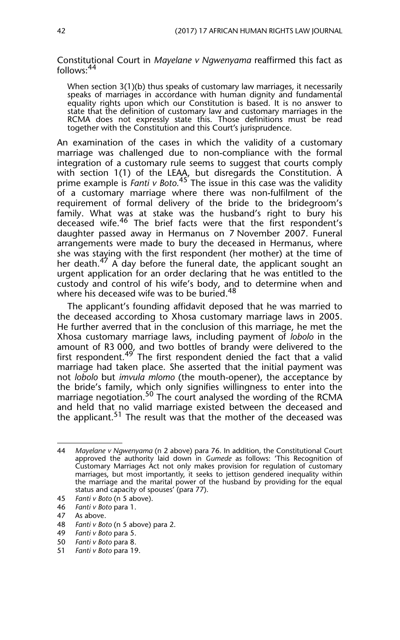Constitutional Court in *Mayelane v Ngwenyama* reaffirmed this fact as follows:<sup>44</sup>

When section 3(1)(b) thus speaks of customary law marriages, it necessarily speaks of marriages in accordance with human dignity and fundamental equality rights upon which our Constitution is based. It is no answer to state that the definition of customary law and customary marriages in the RCMA does not expressly state this. Those definitions must be read together with the Constitution and this Court's jurisprudence.

An examination of the cases in which the validity of a customary marriage was challenged due to non-compliance with the formal integration of a customary rule seems to suggest that courts comply with section 1(1) of the LEAA, but disregards the Constitution. A prime example is *Fanti v Boto.*45 The issue in this case was the validity of a customary marriage where there was non-fulfilment of the requirement of formal delivery of the bride to the bridegroom's family. What was at stake was the husband's right to bury his deceased wife.<sup>46</sup> The brief facts were that the first respondent's daughter passed away in Hermanus on 7 November 2007. Funeral arrangements were made to bury the deceased in Hermanus, where she was staying with the first respondent (her mother) at the time of her death.<sup>47</sup> A day before the funeral date, the applicant sought an urgent application for an order declaring that he was entitled to the custody and control of his wife's body, and to determine when and where his deceased wife was to be buried.<sup>48</sup>

The applicant's founding affidavit deposed that he was married to the deceased according to Xhosa customary marriage laws in 2005. He further averred that in the conclusion of this marriage, he met the Xhosa customary marriage laws, including payment of *lobolo* in the amount of R3 000, and two bottles of brandy were delivered to the first respondent.<sup>49</sup> The first respondent denied the fact that a valid marriage had taken place. She asserted that the initial payment was not *lobolo* but *imvula mlomo* (the mouth-opener), the acceptance by the bride's family, which only signifies willingness to enter into the marriage negotiation.<sup>50</sup> The court analysed the wording of the RCMA and held that no valid marriage existed between the deceased and the applicant.<sup>51</sup> The result was that the mother of the deceased was

<sup>44</sup> *Mayelane v Ngwenyama* (n 2 above) para 76. In addition, the Constitutional Court approved the authority laid down in *Gumede* as follows: 'This Recognition of Customary Marriages Act not only makes provision for regulation of customary marriages, but most importantly, it seeks to jettison gendered inequality within the marriage and the marital power of the husband by providing for the equal status and capacity of spouses' (para 77).

<sup>45</sup> *Fanti v Boto* (n 5 above).

<sup>46</sup> *Fanti v Boto* para 1.

<sup>47</sup> As above.

<sup>48</sup> *Fanti v Boto* (n 5 above) para 2.

<sup>49</sup> *Fanti v Boto* para 5.

<sup>50</sup> *Fanti v Boto* para 8.

<sup>51</sup> *Fanti v Boto* para 19.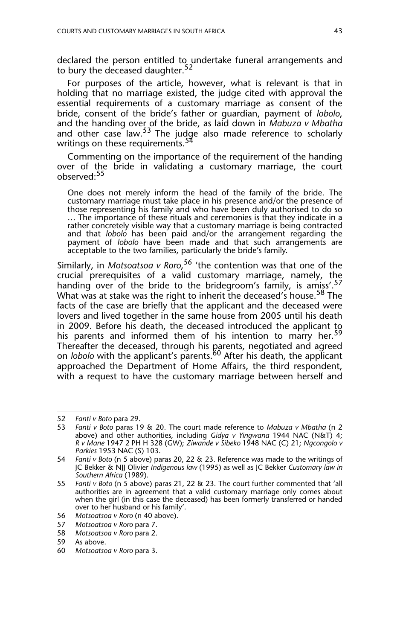declared the person entitled to undertake funeral arrangements and to bury the deceased daughter.<sup>52</sup>

For purposes of the article, however, what is relevant is that in holding that no marriage existed, the judge cited with approval the essential requirements of a customary marriage as consent of the bride, consent of the bride's father or guardian, payment of *lobolo*, and the handing over of the bride, as laid down in *Mabuza v Mbatha* and other case law.<sup>53</sup> The judge also made reference to scholarly writings on these requirements.<sup>5</sup>

Commenting on the importance of the requirement of the handing over of the bride in validating a customary marriage, the court observed:<sup>55</sup>

One does not merely inform the head of the family of the bride. The customary marriage must take place in his presence and/or the presence of those representing his family and who have been duly authorised to do so … The importance of these rituals and ceremonies is that they indicate in a rather concretely visible way that a customary marriage is being contracted and that *lobolo* has been paid and/or the arrangement regarding the payment of *lobolo* have been made and that such arrangements are acceptable to the two families, particularly the bride's family.

Similarly, in *Motsoatsoa v Roro*, 56 'the contention was that one of the crucial prerequisites of a valid customary marriage, namely, the handing over of the bride to the bridegroom's family, is amiss'.<sup>57</sup> What was at stake was the right to inherit the deceased's house.<sup>58</sup> The facts of the case are briefly that the applicant and the deceased were lovers and lived together in the same house from 2005 until his death in 2009. Before his death, the deceased introduced the applicant to his parents and informed them of his intention to marry her.<sup>59</sup> Thereafter the deceased, through his parents, negotiated and agreed on *lobolo* with the applicant's parents.<sup>60</sup> After his death, the applicant approached the Department of Home Affairs, the third respondent, with a request to have the customary marriage between herself and

<sup>52</sup> *Fanti v Boto* para 29.

<sup>53</sup> *Fanti v Boto* paras 19 & 20. The court made reference to *Mabuza v Mbatha* (n 2 above) and other authorities, including *Gidya v Yingwana* 1944 NAC (N&T) 4; *R v Mane* 1947 2 PH H 328 (GW); *Ziwande v Sibeko* 1948 NAC (C) 21; *Ngcongolo v Parkies* 1953 NAC (S) 103.

<sup>54</sup> *Fanti v Boto* (n 5 above) paras 20, 22 & 23. Reference was made to the writings of JC Bekker & NJJ Olivier *Indigenous law* (1995) as well as JC Bekker *Customary law in Southern Africa* (1989).

<sup>55</sup> *Fanti v Boto* (n 5 above) paras 21, 22 & 23. The court further commented that 'all authorities are in agreement that a valid customary marriage only comes about when the girl (in this case the deceased) has been formerly transferred or handed over to her husband or his family'.

<sup>56</sup> *Motsoatsoa v Roro* (n 40 above).

<sup>57</sup> *Motsoatsoa v Roro* para 7.

<sup>58</sup> *Motsoatsoa v Roro* para 2.

<sup>59</sup> As above.

<sup>60</sup> *Motsoatsoa v Roro* para 3.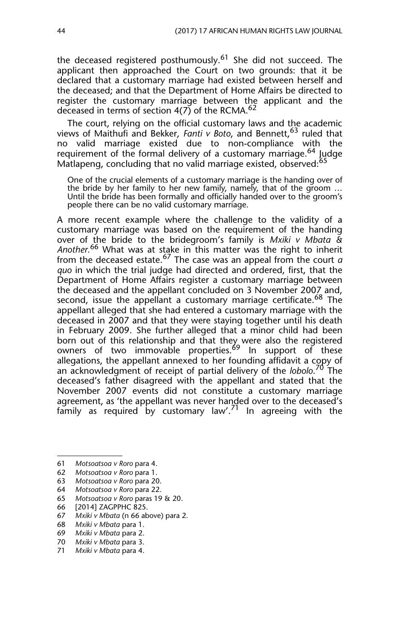the deceased registered posthumously.<sup>61</sup> She did not succeed. The applicant then approached the Court on two grounds: that it be declared that a customary marriage had existed between herself and the deceased; and that the Department of Home Affairs be directed to register the customary marriage between the applicant and the deceased in terms of section  $4(7)$  of the RCMA.<sup>62</sup>

The court, relying on the official customary laws and the academic views of Maithufi and Bekker, *Fanti v Boto*, and Bennett,<sup>63</sup> ruled that no valid marriage existed due to non-compliance with the requirement of the formal delivery of a customary marriage.<sup>64</sup> Judge Matlapeng, concluding that no valid marriage existed, observed:<sup>65</sup>

One of the crucial elements of a customary marriage is the handing over of the bride by her family to her new family, namely, that of the groom … Until the bride has been formally and officially handed over to the groom's people there can be no valid customary marriage.

A more recent example where the challenge to the validity of a customary marriage was based on the requirement of the handing over of the bride to the bridegroom's family is *Mxiki v Mbata & Another.*66 What was at stake in this matter was the right to inherit from the deceased estate.67 The case was an appeal from the court *a quo* in which the trial judge had directed and ordered, first, that the Department of Home Affairs register a customary marriage between the deceased and the appellant concluded on 3 November 2007 and, second, issue the appellant a customary marriage certificate.<sup>68</sup> The appellant alleged that she had entered a customary marriage with the deceased in 2007 and that they were staying together until his death in February 2009. She further alleged that a minor child had been born out of this relationship and that they were also the registered owners of two immovable properties.<sup>69</sup> In support of these allegations, the appellant annexed to her founding affidavit a copy of an acknowledgment of receipt of partial delivery of the *lobolo*. 70 The deceased's father disagreed with the appellant and stated that the November 2007 events did not constitute a customary marriage agreement, as 'the appellant was never handed over to the deceased's family as required by customary law'.<sup>71</sup> In agreeing with the

- 68 *Mxiki v Mbata* para 1.
- 69 *Mxiki v Mbata* para 2.

<sup>61</sup> *Motsoatsoa v Roro* para 4.

<sup>62</sup> *Motsoatsoa v Roro* para 1.

<sup>63</sup> *Motsoatsoa v Roro* para 20.

<sup>64</sup> *Motsoatsoa v Roro* para 22.

<sup>65</sup> *Motsoatsoa v Roro* paras 19 & 20.

<sup>[2014]</sup> ZAGPPHC 825.

<sup>67</sup> *Mxiki v Mbata* (n 66 above) para 2.

<sup>70</sup> *Mxiki v Mbata* para 3.

<sup>71</sup> *Mxiki v Mbata* para 4.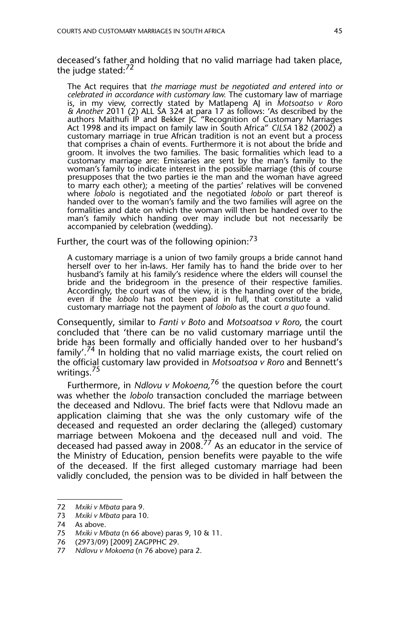deceased's father and holding that no valid marriage had taken place, the judge stated: $72$ 

The Act requires that *the marriage must be negotiated and entered into or celebrated in accordance with customary law.* The customary law of marriage is, in my view, correctly stated by Matlapeng AJ in *Motsoatso v Roro & Another* 2011 (2) ALL SA 324 at para 17 as follows: 'As described by the authors Maithufi IP and Bekker JC "Recognition of Customary Marriages Act 1998 and its impact on family law in South Africa" *CILSA* 182 (2002) a customary marriage in true African tradition is not an event but a process that comprises a chain of events. Furthermore it is not about the bride and groom. It involves the two families. The basic formalities which lead to a customary marriage are: Emissaries are sent by the man's family to the woman's family to indicate interest in the possible marriage (this of course presupposes that the two parties ie the man and the woman have agreed to marry each other); a meeting of the parties' relatives will be convened where *lobolo* is negotiated and the negotiated *lobolo* or part thereof is handed over to the woman's family and the two families will agree on the formalities and date on which the woman will then be handed over to the man's family which handing over may include but not necessarily be accompanied by celebration (wedding).

Further, the court was of the following opinion: $^{73}$ 

A customary marriage is a union of two family groups a bride cannot hand herself over to her in-laws. Her family has to hand the bride over to her husband's family at his family's residence where the elders will counsel the bride and the bridegroom in the presence of their respective families. Accordingly, the court was of the view, it is the handing over of the bride, even if the *lobolo* has not been paid in full, that constitute a valid customary marriage not the payment of *lobolo* as the court *a quo* found.

Consequently, similar to *Fanti v Boto* and *Motsoatsoa v Roro*, the court concluded that 'there can be no valid customary marriage until the bride has been formally and officially handed over to her husband's family'.74 In holding that no valid marriage exists, the court relied on the official customary law provided in *Motsoatsoa v Roro* and Bennett's writings.<sup>75</sup>

Furthermore, in *Ndlovu v Mokoena,*76 the question before the court was whether the *lobolo* transaction concluded the marriage between the deceased and Ndlovu*.* The brief facts were that Ndlovu made an application claiming that she was the only customary wife of the deceased and requested an order declaring the (alleged) customary marriage between Mokoena and the deceased null and void. The deceased had passed away in 2008.77 As an educator in the service of the Ministry of Education, pension benefits were payable to the wife of the deceased. If the first alleged customary marriage had been validly concluded, the pension was to be divided in half between the

<sup>72</sup> *Mxiki v Mbata* para 9.

<sup>73</sup> *Mxiki v Mbata* para 10.

<sup>74</sup> As above.

<sup>75</sup> *Mxiki v Mbata* (n 66 above) paras 9, 10 & 11.

<sup>76 (2973/09) [2009]</sup> ZAGPPHC 29.

<sup>77</sup> *Ndlovu v Mokoena* (n 76 above) para 2.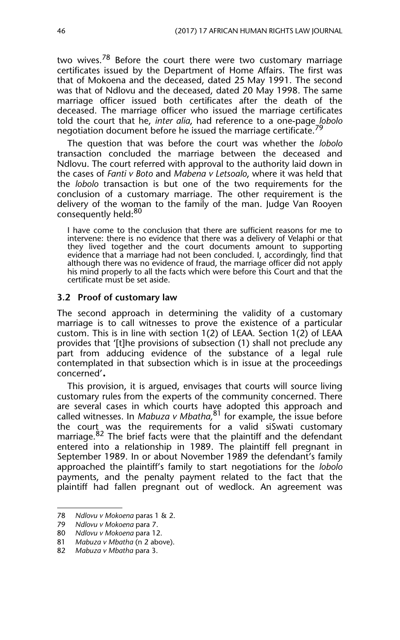two wives.<sup>78</sup> Before the court there were two customary marriage certificates issued by the Department of Home Affairs. The first was that of Mokoena and the deceased, dated 25 May 1991. The second was that of Ndlovu and the deceased, dated 20 May 1998. The same marriage officer issued both certificates after the death of the deceased. The marriage officer who issued the marriage certificates told the court that he, *inter alia*, had reference to a one-page *lobolo* negotiation document before he issued the marriage certificate.<sup>79</sup>

The question that was before the court was whether the *lobolo* transaction concluded the marriage between the deceased and Ndlovu. The court referred with approval to the authority laid down in the cases of *Fanti v Boto* and *Mabena v Letsoalo*, where it was held that the *lobolo* transaction is but one of the two requirements for the conclusion of a customary marriage. The other requirement is the delivery of the woman to the family of the man. Judge Van Rooyen consequently held:<sup>80</sup>

I have come to the conclusion that there are sufficient reasons for me to intervene: there is no evidence that there was a delivery of Velaphi or that they lived together and the court documents amount to supporting evidence that a marriage had not been concluded. I, accordingly, find that although there was no evidence of fraud, the marriage officer did not apply his mind properly to all the facts which were before this Court and that the certificate must be set aside.

#### **3.2 Proof of customary law**

The second approach in determining the validity of a customary marriage is to call witnesses to prove the existence of a particular custom. This is in line with section 1(2) of LEAA. Section 1(2) of LEAA provides that '[t]he provisions of subsection (1) shall not preclude any part from adducing evidence of the substance of a legal rule contemplated in that subsection which is in issue at the proceedings concerned'.

This provision, it is argued, envisages that courts will source living customary rules from the experts of the community concerned. There are several cases in which courts have adopted this approach and called witnesses. In *Mabuza v Mbatha,*81 for example, the issue before the court was the requirements for a valid siSwati customary marriage.<sup>82</sup> The brief facts were that the plaintiff and the defendant entered into a relationship in 1989. The plaintiff fell pregnant in September 1989. In or about November 1989 the defendant's family approached the plaintiff's family to start negotiations for the *lobolo* payments, and the penalty payment related to the fact that the plaintiff had fallen pregnant out of wedlock. An agreement was

<sup>78</sup> *Ndlovu v Mokoena* paras 1 & 2.

<sup>79</sup> *Ndlovu v Mokoena* para 7.

<sup>80</sup> *Ndlovu v Mokoena* para 12. 81 *Mabuza v Mbatha* (n 2 above).

<sup>82</sup> *Mabuza v Mbatha* para 3.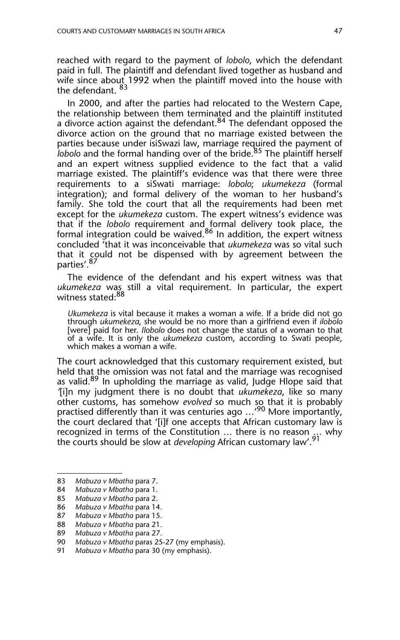reached with regard to the payment of *lobolo*, which the defendant paid in full. The plaintiff and defendant lived together as husband and wife since about 1992 when the plaintiff moved into the house with the defendant. <sup>83</sup>

In 2000, and after the parties had relocated to the Western Cape, the relationship between them terminated and the plaintiff instituted a divorce action against the defendant.<sup>84</sup> The defendant opposed the divorce action on the ground that no marriage existed between the parties because under isiSwazi law, marriage required the payment of *lobolo* and the formal handing over of the bride.<sup>85</sup> The plaintiff herself and an expert witness supplied evidence to the fact that a valid marriage existed. The plaintiff's evidence was that there were three requirements to a siSwati marriage: *lobolo*; *ukumekeza* (formal integration); and formal delivery of the woman to her husband's family. She told the court that all the requirements had been met except for the *ukumekeza* custom. The expert witness's evidence was that if the *lobolo* requirement and formal delivery took place, the formal integration could be waived.<sup>86</sup> In addition, the expert witness concluded 'that it was inconceivable that *ukumekeza* was so vital such that it could not be dispensed with by agreement between the parties'.<sup>87</sup>

The evidence of the defendant and his expert witness was that *ukumekeza* was still a vital requirement. In particular, the expert witness stated:<sup>88</sup>

*Ukumekeza* is vital because it makes a woman a wife. If a bride did not go through *ukumekeza*, she would be no more than a girlfriend even if *ilobolo* [were] paid for her. *Ilobolo* does not change the status of a woman to that of a wife. It is only the *ukumekeza* custom, according to Swati people, which makes a woman a wife.

The court acknowledged that this customary requirement existed, but held that the omission was not fatal and the marriage was recognised as valid.<sup>89</sup> In upholding the marriage as valid, Judge Hlope said that *'*[i]n my judgment there is no doubt that *ukumekeza*, like so many other customs, has somehow *evolved* so much so that it is probably practised differently than it was centuries ago ...<sup>'90</sup> More importantly, the court declared that '[i]f one accepts that African customary law is recognized in terms of the Constitution … there is no reason … why the courts should be slow at *developing* African customary law'.<sup>91</sup>

<sup>83</sup> *Mabuza v Mbatha* para 7.

<sup>84</sup> *Mabuza v Mbatha* para 1.

<sup>85</sup> *Mabuza v Mbatha* para 2.

<sup>86</sup> *Mabuza v Mbatha* para 14.

<sup>87</sup> *Mabuza v Mbatha* para 15.

<sup>88</sup> *Mabuza v Mbatha* para 21.

<sup>89</sup> *Mabuza v Mbatha* para 27.

<sup>90</sup> *Mabuza v Mbatha* paras 25-27 (my emphasis).

<sup>91</sup> *Mabuza v Mbatha* para 30 (my emphasis).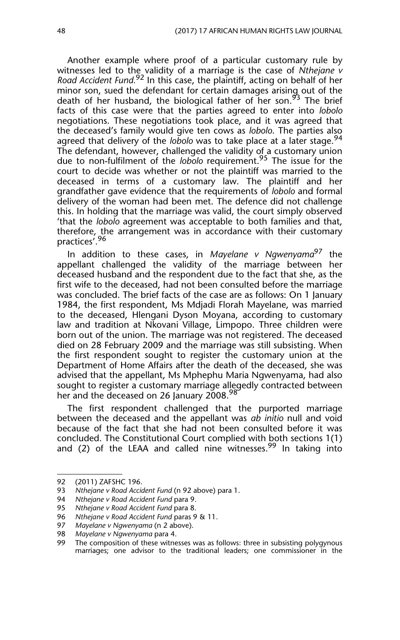Another example where proof of a particular customary rule by witnesses led to the validity of a marriage is the case of *Nthejane v Road Accident Fund.*92 In this case, the plaintiff, acting on behalf of her minor son, sued the defendant for certain damages arising out of the death of her husband, the biological father of her son.<sup>93</sup> The brief facts of this case were that the parties agreed to enter into *lobolo* negotiations. These negotiations took place, and it was agreed that the deceased's family would give ten cows as *lobolo*. The parties also agreed that delivery of the *lobolo* was to take place at a later stage.<sup>94</sup> The defendant, however, challenged the validity of a customary union due to non-fulfilment of the *lobolo* requirement.95 The issue for the court to decide was whether or not the plaintiff was married to the deceased in terms of a customary law. The plaintiff and her grandfather gave evidence that the requirements of *lobolo* and formal delivery of the woman had been met. The defence did not challenge this. In holding that the marriage was valid, the court simply observed 'that the *lobolo* agreement was acceptable to both families and that, therefore, the arrangement was in accordance with their customary practices'.<sup>96</sup>

In addition to these cases, in *Mayelane v Ngwenyama*97 the appellant challenged the validity of the marriage between her deceased husband and the respondent due to the fact that she, as the first wife to the deceased, had not been consulted before the marriage was concluded. The brief facts of the case are as follows: On 1 January 1984, the first respondent, Ms Mdjadi Florah Mayelane, was married to the deceased, Hlengani Dyson Moyana, according to customary law and tradition at Nkovani Village, Limpopo. Three children were born out of the union. The marriage was not registered. The deceased died on 28 February 2009 and the marriage was still subsisting. When the first respondent sought to register the customary union at the Department of Home Affairs after the death of the deceased, she was advised that the appellant, Ms Mphephu Maria Ngwenyama, had also sought to register a customary marriage allegedly contracted between her and the deceased on 26 January 2008.<sup>98</sup>

The first respondent challenged that the purported marriage between the deceased and the appellant was *ab initio* null and void because of the fact that she had not been consulted before it was concluded. The Constitutional Court complied with both sections 1(1) and (2) of the LEAA and called nine witnesses.  $99$  In taking into

<sup>92 (2011)</sup> ZAFSHC 196.<br>93 Ntheiane v Road Accio

<sup>93</sup> *Nthejane v Road Accident Fund* (n 92 above) para 1.

<sup>94</sup> *Nthejane v Road Accident Fund* para 9.

<sup>95</sup> *Nthejane v Road Accident Fund* para 8.

<sup>96</sup> *Nthejane v Road Accident Fund* paras 9 & 11.

<sup>97</sup> *Mayelane v Ngwenyama* (n 2 above).

<sup>98</sup> *Mayelane v Ngwenyama* para 4.

The composition of these witnesses was as follows: three in subsisting polygynous marriages; one advisor to the traditional leaders; one commissioner in the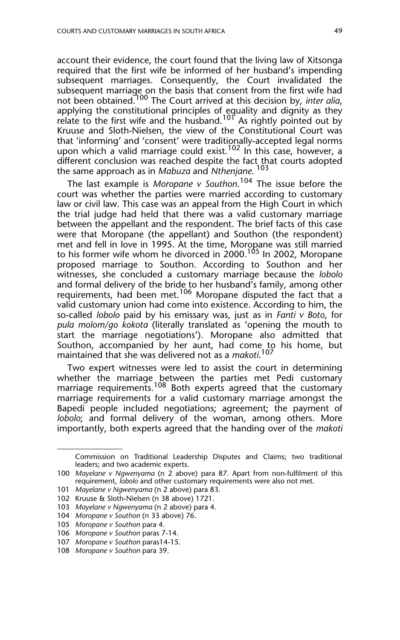account their evidence, the court found that the living law of Xitsonga required that the first wife be informed of her husband's impending subsequent marriages. Consequently, the Court invalidated the subsequent marriage on the basis that consent from the first wife had not been obtained.100 The Court arrived at this decision by, *inter alia*, applying the constitutional principles of equality and dignity as they relate to the first wife and the husband.<sup>101</sup> As rightly pointed out by Kruuse and Sloth-Nielsen, the view of the Constitutional Court was that 'informing' and 'consent' were traditionally-accepted legal norms upon which a valid marriage could exist.<sup>102</sup> In this case, however, a different conclusion was reached despite the fact that courts adopted the same approach as in *Mabuza* and *Nthenjane*. 103

The last example is *Moropane v Southon*. 104 The issue before the court was whether the parties were married according to customary law or civil law. This case was an appeal from the High Court in which the trial judge had held that there was a valid customary marriage between the appellant and the respondent. The brief facts of this case were that Moropane (the appellant) and Southon (the respondent) met and fell in love in 1995. At the time, Moropane was still married to his former wife whom he divorced in 2000.<sup>105</sup> In 2002, Moropane proposed marriage to Southon. According to Southon and her witnesses, she concluded a customary marriage because the *lobolo* and formal delivery of the bride to her husband's family, among other requirements, had been met.106 Moropane disputed the fact that a valid customary union had come into existence. According to him, the so-called *lobolo* paid by his emissary was, just as in *Fanti v Boto*, for *pula molom/go kokota* (literally translated as 'opening the mouth to start the marriage negotiations'). Moropane also admitted that Southon, accompanied by her aunt, had come to his home, but maintained that she was delivered not as a *makoti*. 107

Two expert witnesses were led to assist the court in determining whether the marriage between the parties met Pedi customary marriage requirements.<sup>108</sup> Both experts agreed that the customary marriage requirements for a valid customary marriage amongst the Bapedi people included negotiations; agreement; the payment of *lobolo*; and formal delivery of the woman, among others. More importantly, both experts agreed that the handing over of the *makoti*

104 *Moropane v Southon* (n 33 above) 76.

Commission on Traditional Leadership Disputes and Claims; two traditional leaders; and two academic experts.

<sup>100</sup> *Mayelane v Ngwenyama* (n 2 above) para 87. Apart from non-fulfilment of this requirement, *lobolo* and other customary requirements were also not met.

<sup>101</sup> *Mayelane v Ngwenyama* (n 2 above) para 83.

<sup>102</sup> Kruuse & Sloth-Nielsen (n 38 above) 1721.

<sup>103</sup> *Mayelane v Ngwenyama* (n 2 above) para 4.

<sup>105</sup> *Moropane v Southon* para 4.

<sup>106</sup> *Moropane v Southon* paras 7-14.

<sup>107</sup> *Moropane v Southon* paras14-15.

<sup>108</sup> *Moropane v Southon* para 39.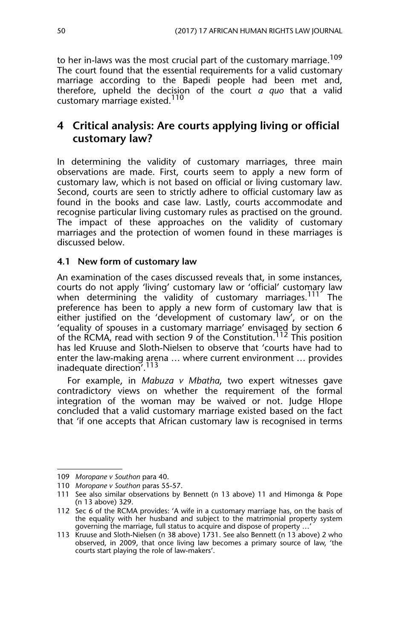to her in-laws was the most crucial part of the customary marriage.<sup>109</sup> The court found that the essential requirements for a valid customary marriage according to the Bapedi people had been met and, therefore, upheld the decision of the court *a quo* that a valid customary marriage existed.<sup>110</sup>

## **4 Critical analysis: Are courts applying living or official customary law?**

In determining the validity of customary marriages, three main observations are made. First, courts seem to apply a new form of customary law, which is not based on official or living customary law. Second, courts are seen to strictly adhere to official customary law as found in the books and case law. Lastly, courts accommodate and recognise particular living customary rules as practised on the ground. The impact of these approaches on the validity of customary marriages and the protection of women found in these marriages is discussed below.

#### **4.1 New form of customary law**

An examination of the cases discussed reveals that, in some instances, courts do not apply 'living' customary law or 'official' customary law when determining the validity of customary marriages.<sup>111</sup> The preference has been to apply a new form of customary law that is either justified on the 'development of customary law', or on the 'equality of spouses in a customary marriage' envisaged by section 6 of the RCMA, read with section 9 of the Constitution.<sup>112</sup> This position has led Kruuse and Sloth-Nielsen to observe that 'courts have had to enter the law-making arena … where current environment … provides inadequate direction<sup>7</sup>.<sup>113</sup>

For example, in *Mabuza v Mbatha*, two expert witnesses gave contradictory views on whether the requirement of the formal integration of the woman may be waived or not. Judge Hlope concluded that a valid customary marriage existed based on the fact that 'if one accepts that African customary law is recognised in terms

<sup>109</sup> *Moropane v Southon* para 40.

<sup>110</sup> *Moropane v Southon* paras 55-57.

<sup>111</sup> See also similar observations by Bennett (n 13 above) 11 and Himonga & Pope (n 13 above) 329.

<sup>112</sup> Sec 6 of the RCMA provides: 'A wife in a customary marriage has, on the basis of the equality with her husband and subject to the matrimonial property system governing the marriage, full status to acquire and dispose of property …'

<sup>113</sup> Kruuse and Sloth-Nielsen (n 38 above) 1731. See also Bennett (n 13 above) 2 who observed, in 2009, that once living law becomes a primary source of law, 'the courts start playing the role of law-makers'.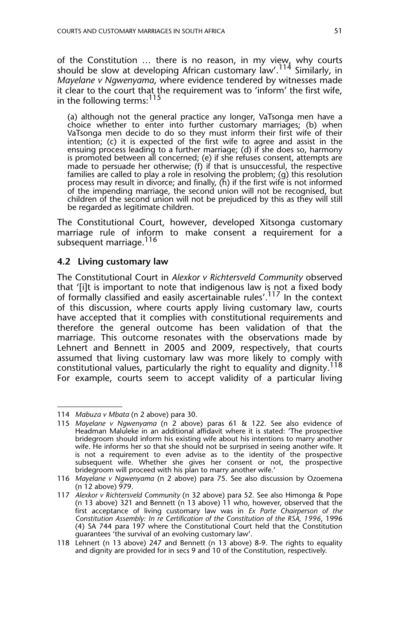of the Constitution ... there is no reason, in my view, why courts should be slow at developing African customary law'.<sup>114</sup> Similarly, in *Mayelane v Ngwenyama*, where evidence tendered by witnesses made it clear to the court that the requirement was to 'inform' the first wife, in the following terms:<sup>115</sup>

(a) although not the general practice any longer, VaTsonga men have a choice whether to enter into further customary marriages; (b) when VaTsonga men decide to do so they must inform their first wife of their intention; (c) it is expected of the first wife to agree and assist in the ensuing process leading to a further marriage; (d) if she does so, harmony is promoted between all concerned; (e) if she refuses consent, attempts are made to persuade her otherwise; (f) if that is unsuccessful, the respective families are called to play a role in resolving the problem; (g) this resolution process may result in divorce; and finally, (h) if the first wife is not informed of the impending marriage, the second union will not be recognised, but children of the second union will not be prejudiced by this as they will still be regarded as legitimate children.

The Constitutional Court, however, developed Xitsonga customary marriage rule of inform to make consent a requirement for a subsequent marriage.<sup>116</sup>

#### **4.2 Living customary law**

The Constitutional Court in *Alexkor v Richtersveld Community* observed that '[i]t is important to note that indigenous law is not a fixed body of formally classified and easily ascertainable rules'.117 In the context of this discussion, where courts apply living customary law, courts have accepted that it complies with constitutional requirements and therefore the general outcome has been validation of that the marriage. This outcome resonates with the observations made by Lehnert and Bennett in 2005 and 2009, respectively, that courts assumed that living customary law was more likely to comply with constitutional values, particularly the right to equality and dignity.<sup>118</sup> For example, courts seem to accept validity of a particular living

<sup>114</sup> *Mabuza v Mbata* (n 2 above) para 30.

<sup>115</sup> *Mayelane v Ngwenyama* (n 2 above) paras 61 & 122. See also evidence of Headman Maluleke in an additional affidavit where it is stated: 'The prospective bridegroom should inform his existing wife about his intentions to marry another wife. He informs her so that she should not be surprised in seeing another wife. It is not a requirement to even advise as to the identity of the prospective subsequent wife. Whether she gives her consent or not, the prospective bridegroom will proceed with his plan to marry another wife.'

<sup>116</sup> *Mayelane v Ngwenyama* (n 2 above) para 75. See also discussion by Ozoemena  $(n 12$  above)  $\frac{5}{79}$ .

<sup>117</sup> *Alexkor v Richtersveld Community* (n 32 above) para 52*.* See also Himonga & Pope (n 13 above) 321 and Bennett (n 13 above) 11 who, however, observed that the first acceptance of living customary law was in *Ex Parte Chairperson of the Constitution Assembly: In re Certification of the Constitution of the RSA, 1996*, 1996 (4) SA 744 para 197 where the Constitutional Court held that the Constitution guarantees 'the survival of an evolving customary law'.

<sup>118</sup> Lehnert (n 13 above) 247 and Bennett (n 13 above) 8-9. The rights to equality and dignity are provided for in secs 9 and 10 of the Constitution, respectively.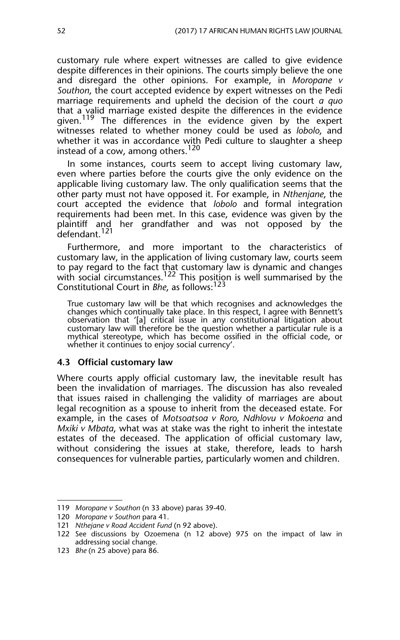customary rule where expert witnesses are called to give evidence despite differences in their opinions. The courts simply believe the one and disregard the other opinions. For example, in *Moropane v Southon*, the court accepted evidence by expert witnesses on the Pedi marriage requirements and upheld the decision of the court *a quo* that a valid marriage existed despite the differences in the evidence given.<sup>119</sup> The differences in the evidence given by the expert witnesses related to whether money could be used as *lobolo*, and whether it was in accordance with Pedi culture to slaughter a sheep instead of a cow, among others.<sup>120</sup>

In some instances, courts seem to accept living customary law, even where parties before the courts give the only evidence on the applicable living customary law. The only qualification seems that the other party must not have opposed it. For example, in *Nthenjane*, the court accepted the evidence that *lobolo* and formal integration requirements had been met. In this case, evidence was given by the plaintiff and her grandfather and was not opposed by the defendant.<sup>121</sup>

Furthermore, and more important to the characteristics of customary law, in the application of living customary law, courts seem to pay regard to the fact that customary law is dynamic and changes with social circumstances.<sup>122</sup> This position is well summarised by the Constitutional Court in *Bhe*, as follows:123

True customary law will be that which recognises and acknowledges the changes which continually take place. In this respect, I agree with Bennett's observation that '[a] critical issue in any constitutional litigation about customary law will therefore be the question whether a particular rule is a mythical stereotype, which has become ossified in the official code, or whether it continues to enjoy social currency'.

#### **4.3 Official customary law**

Where courts apply official customary law, the inevitable result has been the invalidation of marriages. The discussion has also revealed that issues raised in challenging the validity of marriages are about legal recognition as a spouse to inherit from the deceased estate. For example, in the cases of *Motsoatsoa v Roro, Ndhlovu v Mokoena* and *Mxiki v Mbata*, what was at stake was the right to inherit the intestate estates of the deceased. The application of official customary law, without considering the issues at stake, therefore, leads to harsh consequences for vulnerable parties, particularly women and children.

<sup>119</sup> *Moropane v Southon* (n 33 above) paras 39-40.

<sup>120</sup> *Moropane v Southon* para 41.

<sup>121</sup> *Nthejane v Road Accident Fund* (n 92 above).

<sup>122</sup> See discussions by Ozoemena (n 12 above) 975 on the impact of law in addressing social change.

<sup>123</sup> *Bhe* (n 25 above) para 86.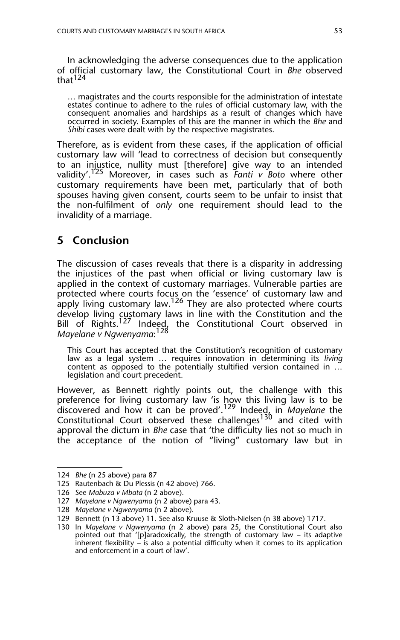In acknowledging the adverse consequences due to the application of official customary law, the Constitutional Court in *Bhe* observed that<sup>124</sup>

… magistrates and the courts responsible for the administration of intestate estates continue to adhere to the rules of official customary law, with the consequent anomalies and hardships as a result of changes which have occurred in society. Examples of this are the manner in which the *Bhe* and *Shibi* cases were dealt with by the respective magistrates.

Therefore, as is evident from these cases, if the application of official customary law will 'lead to correctness of decision but consequently to an injustice, nullity must [therefore] give way to an intended validity'.125 Moreover, in cases such as *Fanti v Boto* where other customary requirements have been met, particularly that of both spouses having given consent, courts seem to be unfair to insist that the non-fulfilment of *only* one requirement should lead to the invalidity of a marriage.

## **5 Conclusion**

The discussion of cases reveals that there is a disparity in addressing the injustices of the past when official or living customary law is applied in the context of customary marriages. Vulnerable parties are protected where courts focus on the 'essence' of customary law and apply living customary law.<sup>126</sup> They are also protected where courts develop living customary laws in line with the Constitution and the Bill of Rights.<sup>127</sup> Indeed, the Constitutional Court observed in *Mayelane v Ngwenyama*: 128

This Court has accepted that the Constitution's recognition of customary law as a legal system … requires innovation in determining its *living* content as opposed to the potentially stultified version contained in … legislation and court precedent.

However, as Bennett rightly points out, the challenge with this preference for living customary law 'is how this living law is to be discovered and how it can be proved'.129 Indeed, in *Mayelane* the Constitutional Court observed these challenges<sup>130</sup> and cited with approval the dictum in *Bhe* case that 'the difficulty lies not so much in the acceptance of the notion of "living" customary law but in

<sup>124</sup> *Bhe* (n 25 above) para 87

<sup>125</sup> Rautenbach & Du Plessis (n 42 above) 766.

<sup>126</sup> See *Mabuza v Mbata* (n 2 above).

<sup>127</sup> *Mayelane v Ngwenyama* (n 2 above) para 43.

<sup>128</sup> *Mayelane v Ngwenyama* (n 2 above).

<sup>129</sup> Bennett (n 13 above) 11. See also Kruuse & Sloth-Nielsen (n 38 above) 1717.

<sup>130</sup> In *Mayelane v Ngwenyama* (n 2 above) para 25, the Constitutional Court also pointed out that '[p]aradoxically, the strength of customary law – its adaptive inherent flexibility – is also a potential difficulty when it comes to its application and enforcement in a court of law'.